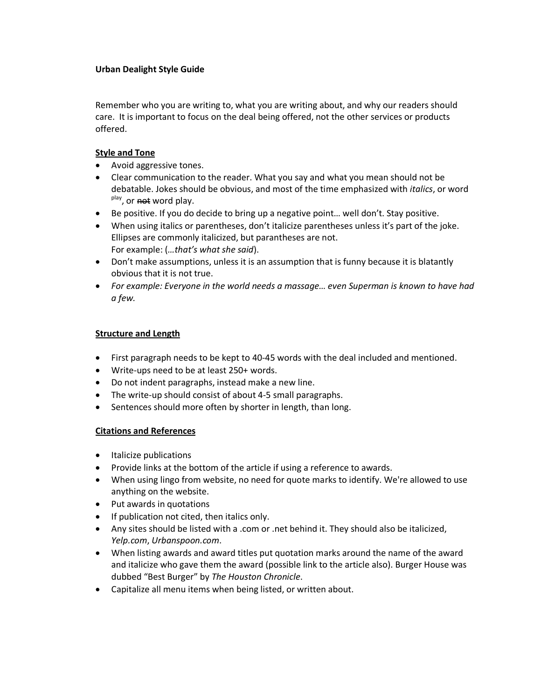## **Urban Dealight Style Guide**

Remember who you are writing to, what you are writing about, and why our readers should care. It is important to focus on the deal being offered, not the other services or products offered.

## **Style and Tone**

- Avoid aggressive tones.
- Clear communication to the reader. What you say and what you mean should not be debatable. Jokes should be obvious, and most of the time emphasized with *italics*, or word <sup>play</sup>, or not word play.
- Be positive. If you do decide to bring up a negative point… well don't. Stay positive.
- When using italics or parentheses, don't italicize parentheses unless it's part of the joke. Ellipses are commonly italicized, but parantheses are not. For example: (*…that's what she said*).
- Don't make assumptions, unless it is an assumption that is funny because it is blatantly obvious that it is not true.
- *For example: Everyone in the world needs a massage… even Superman is known to have had a few.*

## **Structure and Length**

- First paragraph needs to be kept to 40-45 words with the deal included and mentioned.
- Write-ups need to be at least 250+ words.
- Do not indent paragraphs, instead make a new line.
- The write-up should consist of about 4-5 small paragraphs.
- Sentences should more often by shorter in length, than long.

## **Citations and References**

- Italicize publications
- Provide links at the bottom of the article if using a reference to awards.
- When using lingo from website, no need for quote marks to identify. We're allowed to use anything on the website.
- Put awards in quotations
- If publication not cited, then italics only.
- Any sites should be listed with a .com or .net behind it. They should also be italicized, *Yelp.com*, *Urbanspoon.com*.
- When listing awards and award titles put quotation marks around the name of the award and italicize who gave them the award (possible link to the article also). Burger House was dubbed "Best Burger" by *The Houston Chronicle*.
- Capitalize all menu items when being listed, or written about.